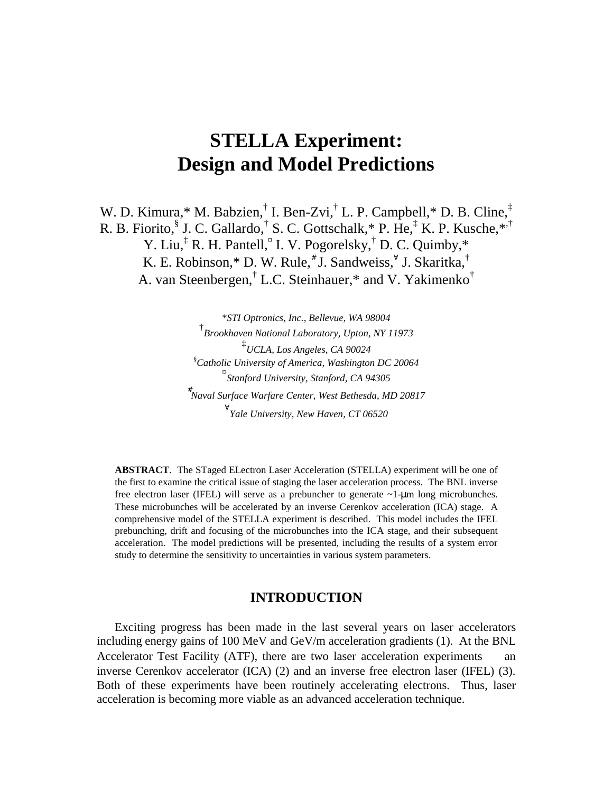# **STELLA Experiment: Design and Model Predictions**

W. D. Kimura,\* M. Babzien,<sup>†</sup> I. Ben-Zvi,<sup>†</sup> L. P. Campbell,\* D. B. Cline,<sup>‡</sup> R. B. Fiorito, <sup>§</sup> J. C. Gallardo, † S. C. Gottschalk, \* P. He, ‡ K. P. Kusche, \*<sup>,†</sup> Y. Liu,<sup>‡</sup> R. H. Pantell,<sup>¤</sup> I. V. Pogorelsky,<sup>†</sup> D. C. Quimby,\* K. E. Robinson,\* D. W. Rule,<sup>#</sup> J. Sandweiss, U. Skaritka, † A. van Steenbergen,<sup>†</sup> L.C. Steinhauer,\* and V. Yakimenko<sup>†</sup>

> \**STI Optronics, Inc., Bellevue, WA 98004* † *Brookhaven National Laboratory, Upton, NY 11973* ‡ *UCLA, Los Angeles, CA 90024* § *Catholic University of America, Washington DC 20064* ¤ *Stanford University, Stanford, CA 94305* # *Naval Surface Warfare Center, West Bethesda, MD 20817* ∀ *Yale University, New Haven, CT 06520*

**ABSTRACT**. The STaged ELectron Laser Acceleration (STELLA) experiment will be one of the first to examine the critical issue of staging the laser acceleration process. The BNL inverse free electron laser (IFEL) will serve as a prebuncher to generate ~1-µm long microbunches. These microbunches will be accelerated by an inverse Cerenkov acceleration (ICA) stage. A comprehensive model of the STELLA experiment is described. This model includes the IFEL prebunching, drift and focusing of the microbunches into the ICA stage, and their subsequent acceleration. The model predictions will be presented, including the results of a system error study to determine the sensitivity to uncertainties in various system parameters.

## **INTRODUCTION**

Exciting progress has been made in the last several years on laser accelerators including energy gains of 100 MeV and GeV/m acceleration gradients (1). At the BNL Accelerator Test Facility (ATF), there are two laser acceleration experiments  $\_\$ an inverse Cerenkov accelerator (ICA) (2) and an inverse free electron laser (IFEL) (3). Both of these experiments have been routinely accelerating electrons. Thus, laser acceleration is becoming more viable as an advanced acceleration technique.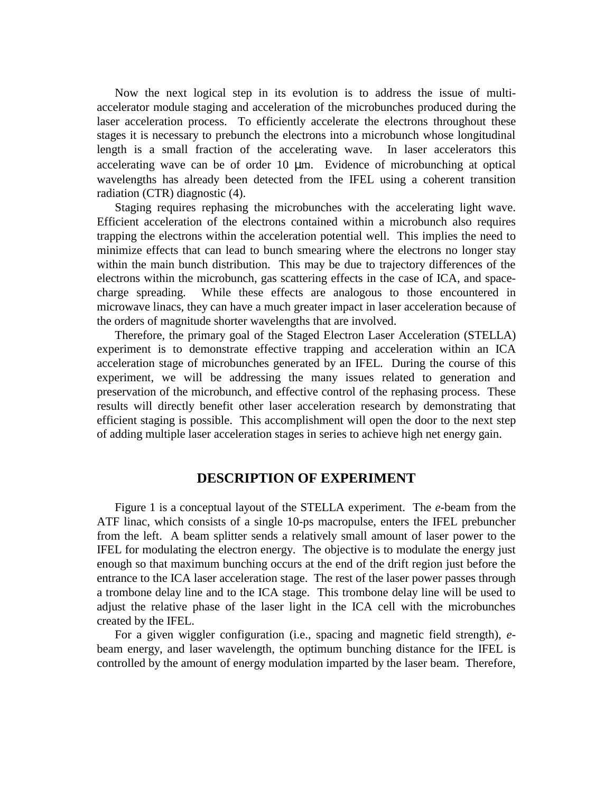Now the next logical step in its evolution is to address the issue of multiaccelerator module staging and acceleration of the microbunches produced during the laser acceleration process. To efficiently accelerate the electrons throughout these stages it is necessary to prebunch the electrons into a microbunch whose longitudinal length is a small fraction of the accelerating wave. In laser accelerators this accelerating wave can be of order 10 µm. Evidence of microbunching at optical wavelengths has already been detected from the IFEL using a coherent transition radiation (CTR) diagnostic (4).

Staging requires rephasing the microbunches with the accelerating light wave. Efficient acceleration of the electrons contained within a microbunch also requires trapping the electrons within the acceleration potential well. This implies the need to minimize effects that can lead to bunch smearing where the electrons no longer stay within the main bunch distribution. This may be due to trajectory differences of the electrons within the microbunch, gas scattering effects in the case of ICA, and spacecharge spreading. While these effects are analogous to those encountered in microwave linacs, they can have a much greater impact in laser acceleration because of the orders of magnitude shorter wavelengths that are involved.

Therefore, the primary goal of the Staged Electron Laser Acceleration (STELLA) experiment is to demonstrate effective trapping and acceleration within an ICA acceleration stage of microbunches generated by an IFEL. During the course of this experiment, we will be addressing the many issues related to generation and preservation of the microbunch, and effective control of the rephasing process. These results will directly benefit other laser acceleration research by demonstrating that efficient staging is possible. This accomplishment will open the door to the next step of adding multiple laser acceleration stages in series to achieve high net energy gain.

#### **DESCRIPTION OF EXPERIMENT**

Figure 1 is a conceptual layout of the STELLA experiment. The *e*-beam from the ATF linac, which consists of a single 10-ps macropulse, enters the IFEL prebuncher from the left. A beam splitter sends a relatively small amount of laser power to the IFEL for modulating the electron energy. The objective is to modulate the energy just enough so that maximum bunching occurs at the end of the drift region just before the entrance to the ICA laser acceleration stage. The rest of the laser power passes through a trombone delay line and to the ICA stage. This trombone delay line will be used to adjust the relative phase of the laser light in the ICA cell with the microbunches created by the IFEL.

For a given wiggler configuration (i.e., spacing and magnetic field strength), *e*beam energy, and laser wavelength, the optimum bunching distance for the IFEL is controlled by the amount of energy modulation imparted by the laser beam. Therefore,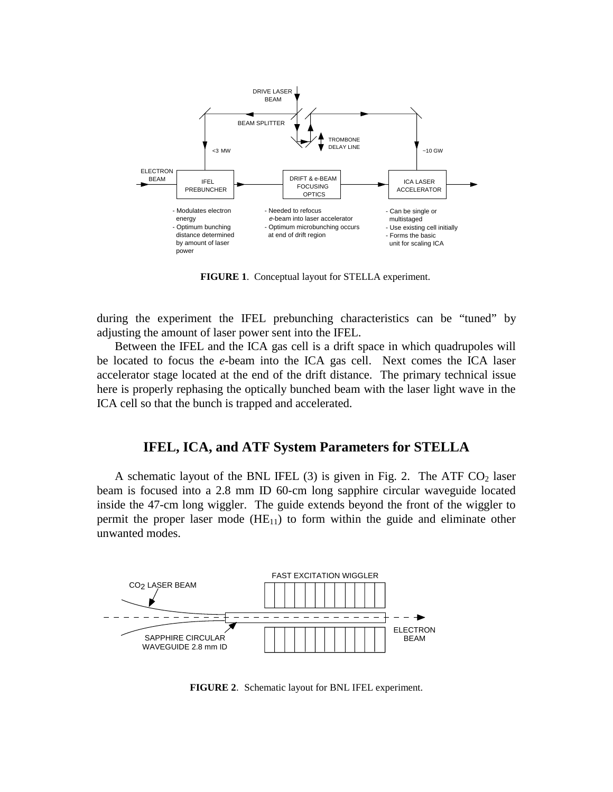

**FIGURE 1**. Conceptual layout for STELLA experiment.

during the experiment the IFEL prebunching characteristics can be "tuned" by adjusting the amount of laser power sent into the IFEL.

Between the IFEL and the ICA gas cell is a drift space in which quadrupoles will be located to focus the *e*-beam into the ICA gas cell. Next comes the ICA laser accelerator stage located at the end of the drift distance. The primary technical issue here is properly rephasing the optically bunched beam with the laser light wave in the ICA cell so that the bunch is trapped and accelerated.

## **IFEL, ICA, and ATF System Parameters for STELLA**

A schematic layout of the BNL IFEL (3) is given in Fig. 2. The ATF  $CO<sub>2</sub>$  laser beam is focused into a 2.8 mm ID 60-cm long sapphire circular waveguide located inside the 47-cm long wiggler. The guide extends beyond the front of the wiggler to permit the proper laser mode  $(HE_{11})$  to form within the guide and eliminate other unwanted modes.



**FIGURE 2**. Schematic layout for BNL IFEL experiment.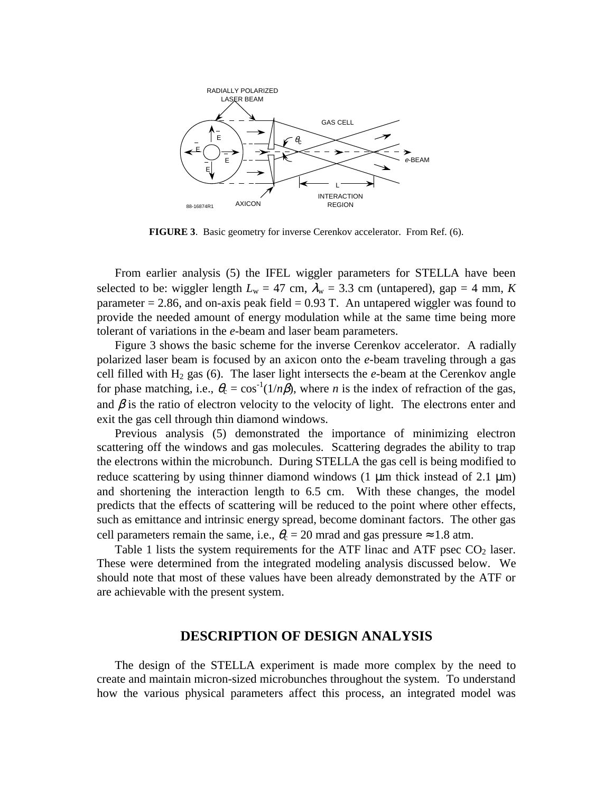

**FIGURE 3**. Basic geometry for inverse Cerenkov accelerator. From Ref. (6).

From earlier analysis (5) the IFEL wiggler parameters for STELLA have been selected to be: wiggler length  $L_w = 47$  cm,  $\lambda_w = 3.3$  cm (untapered), gap = 4 mm, *K* parameter  $= 2.86$ , and on-axis peak field  $= 0.93$  T. An untapered wiggler was found to provide the needed amount of energy modulation while at the same time being more tolerant of variations in the *e*-beam and laser beam parameters.

Figure 3 shows the basic scheme for the inverse Cerenkov accelerator. A radially polarized laser beam is focused by an axicon onto the *e*-beam traveling through a gas cell filled with  $H_2$  gas (6). The laser light intersects the  $e$ -beam at the Cerenkov angle for phase matching, i.e.,  $\theta_c = \cos^{-1}(1/n\beta)$ , where *n* is the index of refraction of the gas, and  $\beta$  is the ratio of electron velocity to the velocity of light. The electrons enter and exit the gas cell through thin diamond windows.

Previous analysis (5) demonstrated the importance of minimizing electron scattering off the windows and gas molecules. Scattering degrades the ability to trap the electrons within the microbunch. During STELLA the gas cell is being modified to reduce scattering by using thinner diamond windows (1  $\mu$ m thick instead of 2.1  $\mu$ m) and shortening the interaction length to 6.5 cm. With these changes, the model predicts that the effects of scattering will be reduced to the point where other effects, such as emittance and intrinsic energy spread, become dominant factors. The other gas cell parameters remain the same, i.e.,  $\theta_c = 20$  mrad and gas pressure  $\approx 1.8$  atm.

Table 1 lists the system requirements for the ATF linac and ATF psec  $CO<sub>2</sub>$  laser. These were determined from the integrated modeling analysis discussed below. We should note that most of these values have been already demonstrated by the ATF or are achievable with the present system.

#### **DESCRIPTION OF DESIGN ANALYSIS**

The design of the STELLA experiment is made more complex by the need to create and maintain micron-sized microbunches throughout the system. To understand how the various physical parameters affect this process, an integrated model was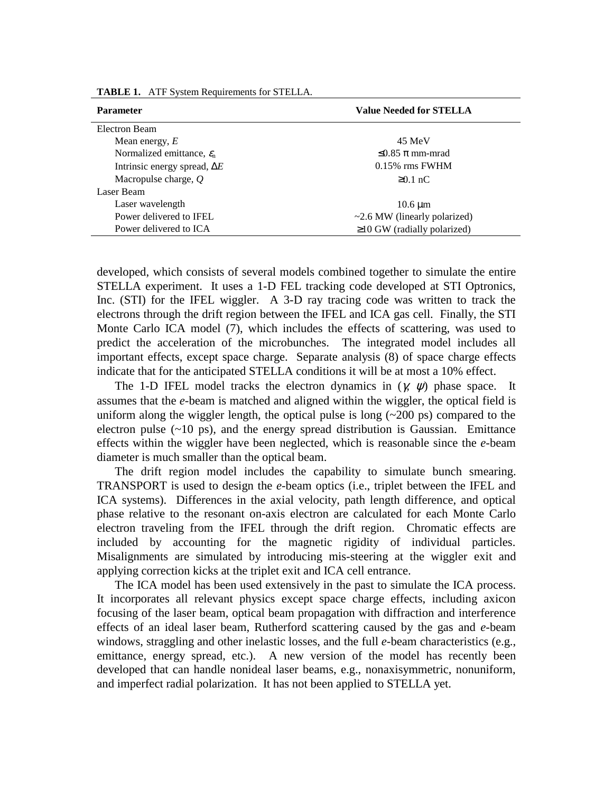| <b>Parameter</b>                      | <b>Value Needed for STELLA</b>     |  |  |
|---------------------------------------|------------------------------------|--|--|
| Electron Beam                         |                                    |  |  |
| Mean energy, $E$                      | 45 MeV                             |  |  |
| Normalized emittance, $\varepsilon_n$ | $\leq 0.85 \pi$ mm-mrad            |  |  |
| Intrinsic energy spread, $\Delta E$   | $0.15\%$ rms FWHM                  |  |  |
| Macropulse charge, $Q$                | $\geq 0.1$ nC                      |  |  |
| Laser Beam                            |                                    |  |  |
| Laser wavelength                      | $10.6 \mu m$                       |  |  |
| Power delivered to IFEL               | $\sim$ 2.6 MW (linearly polarized) |  |  |
| Power delivered to ICA                | $\geq$ 10 GW (radially polarized)  |  |  |
|                                       |                                    |  |  |

**TABLE 1.** ATF System Requirements for STELLA.

developed, which consists of several models combined together to simulate the entire STELLA experiment. It uses a 1-D FEL tracking code developed at STI Optronics, Inc. (STI) for the IFEL wiggler. A 3-D ray tracing code was written to track the electrons through the drift region between the IFEL and ICA gas cell. Finally, the STI Monte Carlo ICA model (7), which includes the effects of scattering, was used to predict the acceleration of the microbunches. The integrated model includes all important effects, except space charge. Separate analysis (8) of space charge effects indicate that for the anticipated STELLA conditions it will be at most a 10% effect.

The 1-D IFEL model tracks the electron dynamics in  $(\gamma, \psi)$  phase space. It assumes that the *e*-beam is matched and aligned within the wiggler, the optical field is uniform along the wiggler length, the optical pulse is long  $(\sim 200 \text{ ps})$  compared to the electron pulse  $(-10 \text{ ps})$ , and the energy spread distribution is Gaussian. Emittance effects within the wiggler have been neglected, which is reasonable since the *e*-beam diameter is much smaller than the optical beam.

The drift region model includes the capability to simulate bunch smearing. TRANSPORT is used to design the *e*-beam optics (i.e., triplet between the IFEL and ICA systems). Differences in the axial velocity, path length difference, and optical phase relative to the resonant on-axis electron are calculated for each Monte Carlo electron traveling from the IFEL through the drift region. Chromatic effects are included by accounting for the magnetic rigidity of individual particles. Misalignments are simulated by introducing mis-steering at the wiggler exit and applying correction kicks at the triplet exit and ICA cell entrance.

The ICA model has been used extensively in the past to simulate the ICA process. It incorporates all relevant physics except space charge effects, including axicon focusing of the laser beam, optical beam propagation with diffraction and interference effects of an ideal laser beam, Rutherford scattering caused by the gas and *e*-beam windows, straggling and other inelastic losses, and the full *e*-beam characteristics (e.g., emittance, energy spread, etc.). A new version of the model has recently been developed that can handle nonideal laser beams, e.g., nonaxisymmetric, nonuniform, and imperfect radial polarization. It has not been applied to STELLA yet.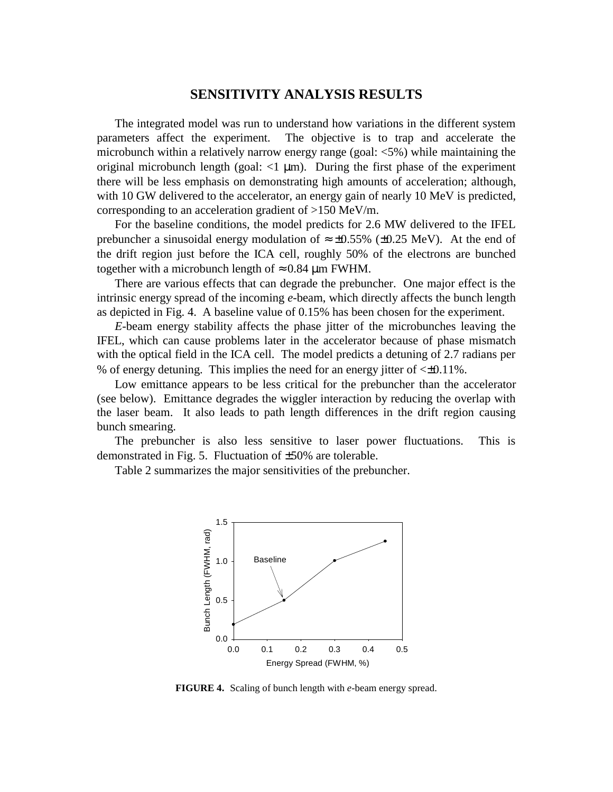## **SENSITIVITY ANALYSIS RESULTS**

The integrated model was run to understand how variations in the different system parameters affect the experiment. The objective is to trap and accelerate the microbunch within a relatively narrow energy range (goal: <5%) while maintaining the original microbunch length (goal:  $\langle 1 \mu m \rangle$ ). During the first phase of the experiment there will be less emphasis on demonstrating high amounts of acceleration; although, with 10 GW delivered to the accelerator, an energy gain of nearly 10 MeV is predicted, corresponding to an acceleration gradient of >150 MeV/m.

For the baseline conditions, the model predicts for 2.6 MW delivered to the IFEL prebuncher a sinusoidal energy modulation of  $\approx \pm 0.55\%$  ( $\pm 0.25$  MeV). At the end of the drift region just before the ICA cell, roughly 50% of the electrons are bunched together with a microbunch length of  $\approx 0.84$  µm FWHM.

There are various effects that can degrade the prebuncher. One major effect is the intrinsic energy spread of the incoming *e*-beam, which directly affects the bunch length as depicted in Fig. 4. A baseline value of 0.15% has been chosen for the experiment.

*E*-beam energy stability affects the phase jitter of the microbunches leaving the IFEL, which can cause problems later in the accelerator because of phase mismatch with the optical field in the ICA cell. The model predicts a detuning of 2.7 radians per % of energy detuning. This implies the need for an energy jitter of  $\leq 0.11\%$ .

Low emittance appears to be less critical for the prebuncher than the accelerator (see below). Emittance degrades the wiggler interaction by reducing the overlap with the laser beam. It also leads to path length differences in the drift region causing bunch smearing.

The prebuncher is also less sensitive to laser power fluctuations. This is demonstrated in Fig. 5. Fluctuation of ±50% are tolerable.

Table 2 summarizes the major sensitivities of the prebuncher.



**FIGURE 4.** Scaling of bunch length with *e*-beam energy spread.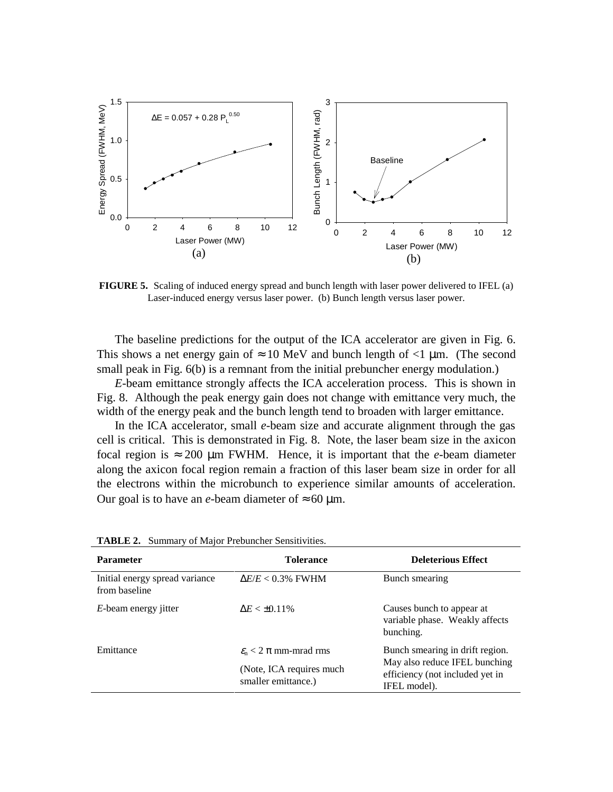

**FIGURE 5.** Scaling of induced energy spread and bunch length with laser power delivered to IFEL (a) Laser-induced energy versus laser power. (b) Bunch length versus laser power.

The baseline predictions for the output of the ICA accelerator are given in Fig. 6. This shows a net energy gain of  $\approx 10$  MeV and bunch length of  $\lt 1$  µm. (The second small peak in Fig. 6(b) is a remnant from the initial prebuncher energy modulation.)

*E*-beam emittance strongly affects the ICA acceleration process. This is shown in Fig. 8. Although the peak energy gain does not change with emittance very much, the width of the energy peak and the bunch length tend to broaden with larger emittance.

In the ICA accelerator, small *e*-beam size and accurate alignment through the gas cell is critical. This is demonstrated in Fig. 8. Note, the laser beam size in the axicon focal region is  $\approx 200$  µm FWHM. Hence, it is important that the *e*-beam diameter along the axicon focal region remain a fraction of this laser beam size in order for all the electrons within the microbunch to experience similar amounts of acceleration. Our goal is to have an *e*-beam diameter of  $\approx 60$  µm.

| <b>Parameter</b>                                | <b>Tolerance</b>                        | <b>Deleterious Effect</b>                                                        |  |
|-------------------------------------------------|-----------------------------------------|----------------------------------------------------------------------------------|--|
| Initial energy spread variance<br>from baseline | $\Delta E/E < 0.3\%$ FWHM               | Bunch smearing                                                                   |  |
| <i>E</i> -beam energy jitter                    | $\Delta E < \pm 0.11\%$                 | Causes bunch to appear at<br>variable phase. Weakly affects<br>bunching.         |  |
| Emittance                                       | $\varepsilon_{0}$ < 2 $\pi$ mm-mrad rms | Bunch smearing in drift region.                                                  |  |
| (Note, ICA requires much<br>smaller emittance.) |                                         | May also reduce IFEL bunching<br>efficiency (not included yet in<br>IFEL model). |  |

|  |  |  |  | TABLE 2. Summary of Major Prebuncher Sensitivities. |
|--|--|--|--|-----------------------------------------------------|
|--|--|--|--|-----------------------------------------------------|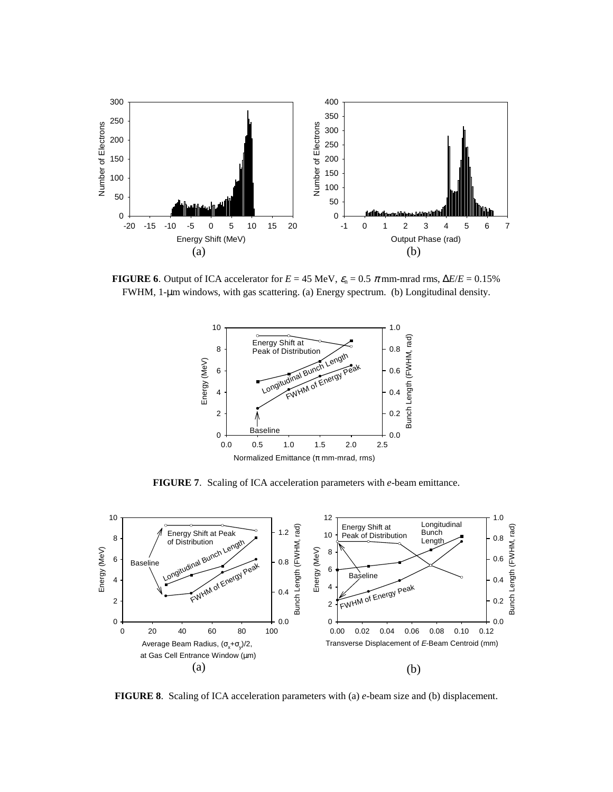

**FIGURE 6.** Output of ICA accelerator for  $E = 45$  MeV,  $\varepsilon_n = 0.5$   $\pi$  mm-mrad rms,  $\Delta E/E = 0.15\%$ FWHM, 1-µm windows, with gas scattering. (a) Energy spectrum. (b) Longitudinal density.



**FIGURE 7**. Scaling of ICA acceleration parameters with *e*-beam emittance.



**FIGURE 8**. Scaling of ICA acceleration parameters with (a) *e*-beam size and (b) displacement.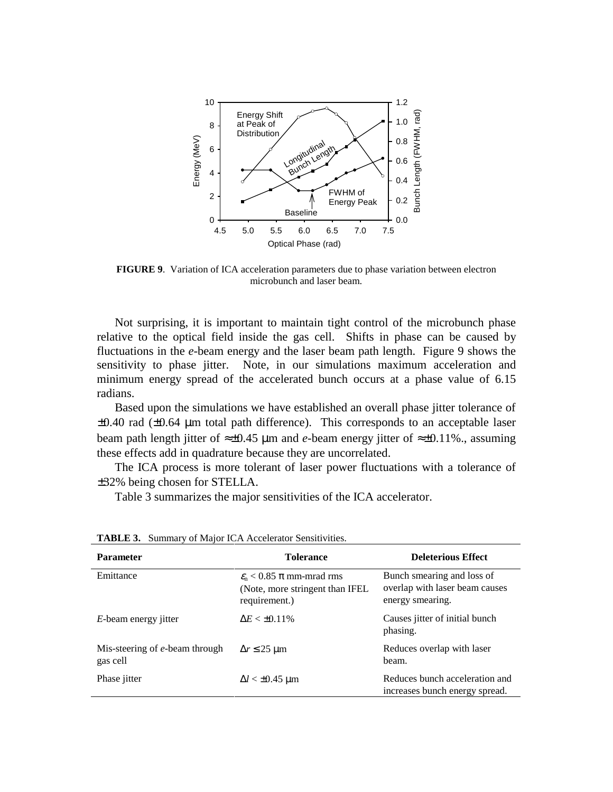

**FIGURE 9**. Variation of ICA acceleration parameters due to phase variation between electron microbunch and laser beam.

Not surprising, it is important to maintain tight control of the microbunch phase relative to the optical field inside the gas cell. Shifts in phase can be caused by fluctuations in the *e*-beam energy and the laser beam path length. Figure 9 shows the sensitivity to phase jitter. Note, in our simulations maximum acceleration and minimum energy spread of the accelerated bunch occurs at a phase value of 6.15 radians.

Based upon the simulations we have established an overall phase jitter tolerance of  $\pm 0.40$  rad ( $\pm 0.64$  µm total path difference). This corresponds to an acceptable laser beam path length jitter of ≈±0.45 µm and *e*-beam energy jitter of ≈±0.11%., assuming these effects add in quadrature because they are uncorrelated.

The ICA process is more tolerant of laser power fluctuations with a tolerance of ±32% being chosen for STELLA.

Table 3 summarizes the major sensitivities of the ICA accelerator.

| <b>Parameter</b>                           | <b>Tolerance</b>                                                                              | <b>Deleterious Effect</b>                                                        |
|--------------------------------------------|-----------------------------------------------------------------------------------------------|----------------------------------------------------------------------------------|
| Emittance                                  | $\varepsilon_n$ < 0.85 $\pi$ mm-mrad rms<br>(Note, more stringent than IFEL)<br>requirement.) | Bunch smearing and loss of<br>overlap with laser beam causes<br>energy smearing. |
| <i>E</i> -beam energy jitter               | $\Delta E < \pm 0.11\%$                                                                       | Causes jitter of initial bunch<br>phasing.                                       |
| Mis-steering of e-beam through<br>gas cell | $\Delta r \leq 25 \text{ }\mu\text{m}$                                                        | Reduces overlap with laser<br>beam.                                              |
| Phase <i>jitter</i>                        | $\Delta l < \pm 0.45$ µm                                                                      | Reduces bunch acceleration and<br>increases bunch energy spread.                 |

**TABLE 3.** Summary of Major ICA Accelerator Sensitivities.